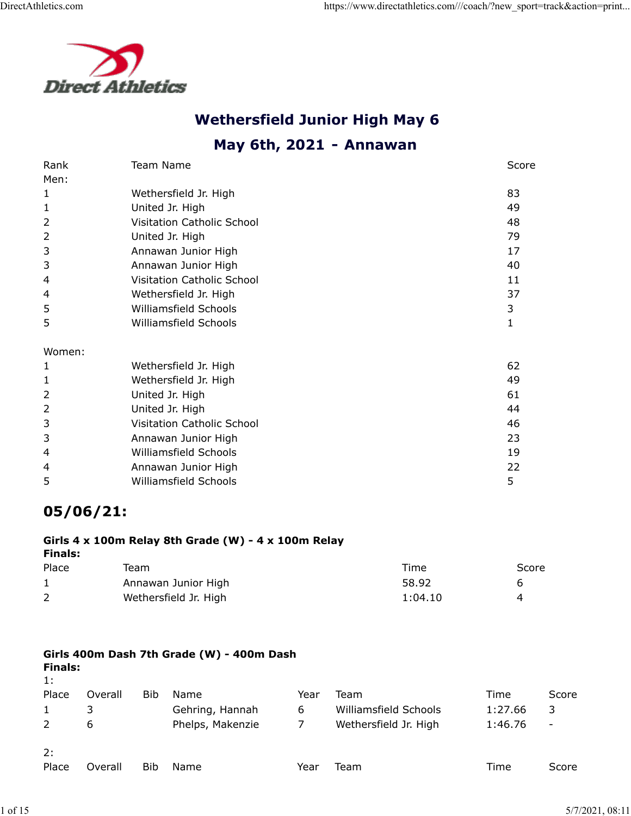

# **Wethersfield Junior High May 6**

# **May 6th, 2021 - Annawan**

| Rank           | <b>Team Name</b>           | Score |
|----------------|----------------------------|-------|
| Men:           |                            |       |
| 1              | Wethersfield Jr. High      | 83    |
| $\mathbf{1}$   | United Jr. High            | 49    |
| $\overline{2}$ | Visitation Catholic School | 48    |
| $\overline{2}$ | United Jr. High            | 79    |
| 3              | Annawan Junior High        | 17    |
| 3              | Annawan Junior High        | 40    |
| 4              | Visitation Catholic School | 11    |
| 4              | Wethersfield Jr. High      | 37    |
| 5              | Williamsfield Schools      | 3     |
| 5              | Williamsfield Schools      | 1     |
| Women:         |                            |       |
| $\mathbf{1}$   | Wethersfield Jr. High      | 62    |
| 1              | Wethersfield Jr. High      | 49    |
| $\overline{2}$ | United Jr. High            | 61    |
| $\overline{2}$ | United Jr. High            | 44    |
| 3              | Visitation Catholic School | 46    |
| 3              | Annawan Junior High        | 23    |
| 4              | Williamsfield Schools      | 19    |
| 4              | Annawan Junior High        | 22    |
| 5              | Williamsfield Schools      | 5     |

# **05/06/21:**

## **Girls 4 x 100m Relay 8th Grade (W) - 4 x 100m Relay**

| <b>Finals:</b> |                       |         |       |
|----------------|-----------------------|---------|-------|
| Place          | Team                  | Time    | Score |
|                | Annawan Junior High   | 58.92   | b     |
|                | Wethersfield Jr. High | 1:04.10 | 4     |

#### **Girls 400m Dash 7th Grade (W) - 400m Dash Finals:** 1:

| 2:    |         |            |                  |      |                       |         |                          |
|-------|---------|------------|------------------|------|-----------------------|---------|--------------------------|
| 2     | 6       |            | Phelps, Makenzie | 7    | Wethersfield Jr. High | 1:46.76 | $\overline{\phantom{a}}$ |
|       |         |            | Gehring, Hannah  | 6    | Williamsfield Schools | 1:27.66 |                          |
| Place | Overall | <b>Bib</b> | <b>Name</b>      | Year | Team                  | Time    | Score                    |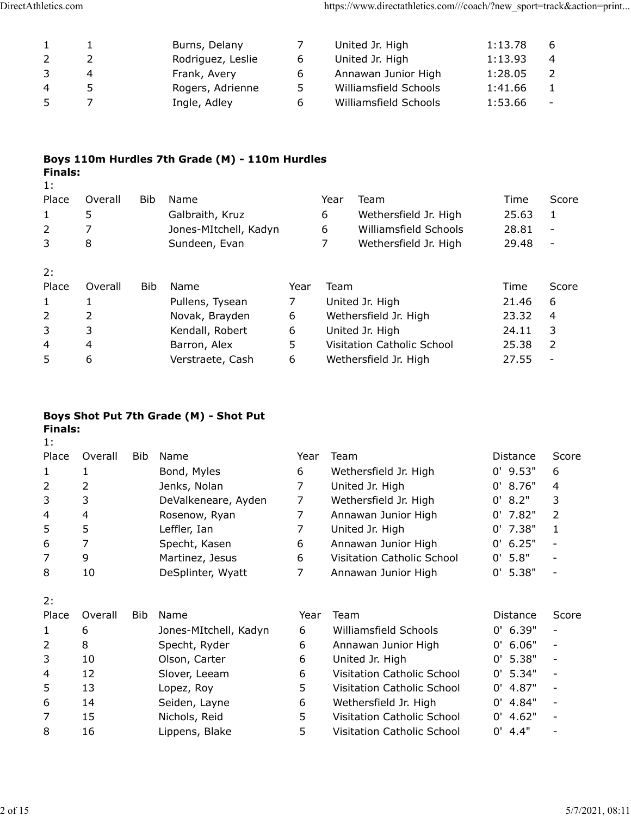| $\mathbf{1}$ |   | Burns, Delany     |   | United Jr. High       | 1:13.78 | b                        |
|--------------|---|-------------------|---|-----------------------|---------|--------------------------|
| <sup>2</sup> |   | Rodriguez, Leslie | b | United Jr. High       | 1:13.93 | 4                        |
|              | 4 | Frank, Avery      | b | Annawan Junior High   | 1:28.05 |                          |
| 4            | 5 | Rogers, Adrienne  |   | Williamsfield Schools | 1:41.66 |                          |
| .5.          |   | Ingle, Adley      |   | Williamsfield Schools | 1:53.66 | $\overline{\phantom{a}}$ |

#### **Boys 110m Hurdles 7th Grade (M) - 110m Hurdles Finals:**

| Overall | Bib | Name                  |      | Year | Team                  | Time                                                                                                                              | Score                    |
|---------|-----|-----------------------|------|------|-----------------------|-----------------------------------------------------------------------------------------------------------------------------------|--------------------------|
| 5       |     | Galbraith, Kruz       |      | 6    | Wethersfield Jr. High | 25.63                                                                                                                             |                          |
|         |     | Jones-MItchell, Kadyn |      | 6    | Williamsfield Schools | 28.81                                                                                                                             |                          |
| 8       |     | Sundeen, Evan         |      |      | Wethersfield Jr. High | 29.48                                                                                                                             | $\overline{\phantom{0}}$ |
|         |     |                       |      |      |                       |                                                                                                                                   |                          |
| Overall | Bib | Name                  | Year |      |                       | Time                                                                                                                              | Score                    |
| 1       |     | Pullens, Tysean       | 7    |      |                       | 21.46                                                                                                                             | 6                        |
| 2       |     | Novak, Brayden        | 6    |      |                       | 23.32                                                                                                                             | 4                        |
| 3       |     | Kendall, Robert       | 6    |      |                       | 24.11                                                                                                                             | 3                        |
| 4       |     | Barron, Alex          | 5    |      |                       | 25.38                                                                                                                             | 2                        |
| 6       |     | Verstraete, Cash      | 6    |      |                       | 27.55                                                                                                                             |                          |
|         |     |                       |      |      |                       | Team<br>United Jr. High<br>Wethersfield Jr. High<br>United Jr. High<br><b>Visitation Catholic School</b><br>Wethersfield Jr. High |                          |

## **Boys Shot Put 7th Grade (M) - Shot Put Finals:**

| Place          | Overall | Bib | Name                  | Year | <b>Team</b>                       |    | Distance   | Score                        |
|----------------|---------|-----|-----------------------|------|-----------------------------------|----|------------|------------------------------|
| 1              | 1       |     | Bond, Myles           | 6    | Wethersfield Jr. High             |    | $0'$ 9.53" | 6                            |
| 2              | 2       |     | Jenks, Nolan          | 7    | United Jr. High                   | 0' | 8.76"      | 4                            |
| 3              | 3       |     | DeValkeneare, Ayden   | 7    | Wethersfield Jr. High             | 0' | 8.2"       | 3                            |
| 4              | 4       |     | Rosenow, Ryan         | 7    | Annawan Junior High               | 0' | 7.82"      | 2                            |
| 5              | 5       |     | Leffler, Ian          |      | United Jr. High                   | 0' | 7.38"      | 1                            |
| 6              | 7       |     | Specht, Kasen         | 6    | Annawan Junior High               | 0' | 6.25"      | $\qquad \qquad \blacksquare$ |
| 7              | 9       |     | Martinez, Jesus       | 6    | <b>Visitation Catholic School</b> | 0' | 5.8"       |                              |
| 8              | 10      |     | DeSplinter, Wyatt     | 7    | Annawan Junior High               | 0' | 5.38"      |                              |
|                |         |     |                       |      |                                   |    |            |                              |
|                |         |     |                       |      |                                   |    |            |                              |
| 2:             |         |     |                       |      |                                   |    |            |                              |
| Place          | Overall | Bib | Name                  | Year | Team                              |    | Distance   | Score                        |
| 1              | 6       |     | Jones-MItchell, Kadyn | 6    | Williamsfield Schools             | 0' | 6.39"      |                              |
| $\overline{2}$ | 8       |     | Specht, Ryder         | 6    | Annawan Junior High               | O' | 6.06"      |                              |
| 3              | 10      |     | Olson, Carter         | 6    | United Jr. High                   | 0' | 5.38"      | $\overline{\phantom{a}}$     |
| 4              | 12      |     | Slover, Leeam         | 6    | <b>Visitation Catholic School</b> | 0' | 5.34"      |                              |
| 5              | 13      |     | Lopez, Roy            | 5    | <b>Visitation Catholic School</b> | 0' | 4.87"      |                              |
| 6              | 14      |     | Seiden, Layne         | 6    | Wethersfield Jr. High             | 0' | 4.84"      |                              |
| 7              | 15      |     | Nichols, Reid         | 5    | <b>Visitation Catholic School</b> | 0' | 4.62"      |                              |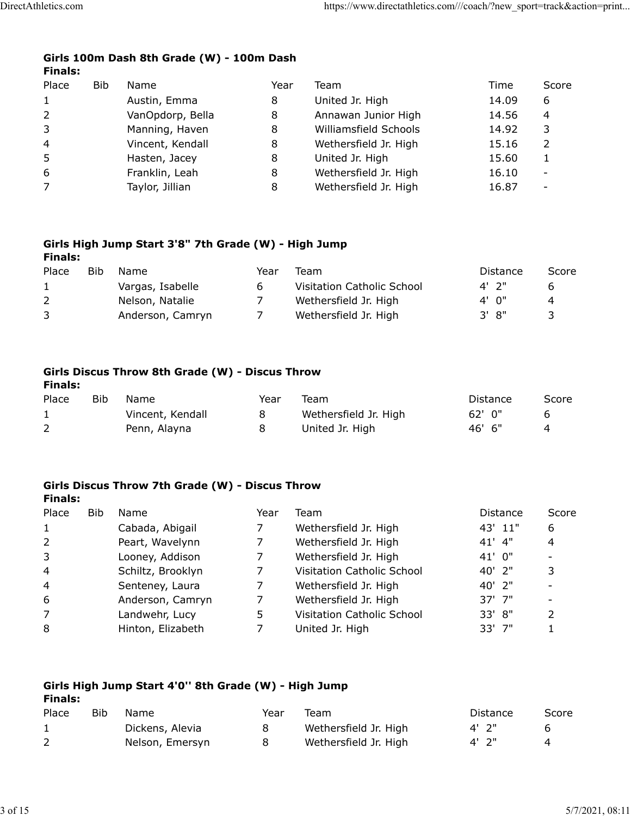#### **Girls 100m Dash 8th Grade (W) - 100m Dash Finals:**

| Place          | Bib | Name             | Year | Team                  | Time  | Score |
|----------------|-----|------------------|------|-----------------------|-------|-------|
| $\mathbf{1}$   |     | Austin, Emma     | 8    | United Jr. High       | 14.09 | 6     |
| 2              |     | VanOpdorp, Bella | 8    | Annawan Junior High   | 14.56 | 4     |
| 3              |     | Manning, Haven   | 8    | Williamsfield Schools | 14.92 | 3     |
| $\overline{4}$ |     | Vincent, Kendall | 8    | Wethersfield Jr. High | 15.16 |       |
| 5              |     | Hasten, Jacey    | 8    | United Jr. High       | 15.60 |       |
| 6              |     | Franklin, Leah   | 8    | Wethersfield Jr. High | 16.10 |       |
| 7              |     | Taylor, Jillian  | 8    | Wethersfield Jr. High | 16.87 |       |

## **Girls High Jump Start 3'8" 7th Grade (W) - High Jump Finals:**

| Place        | Bib | Name             | Year | Team                       | Distance   | Score    |
|--------------|-----|------------------|------|----------------------------|------------|----------|
| $\mathbf{1}$ |     | Vargas, Isabelle | 6    | Visitation Catholic School | $4'$ $2''$ | <b>b</b> |
| 2            |     | Nelson, Natalie  |      | Wethersfield Jr. High      | 4' በ"      | 4        |
| 3            |     | Anderson, Camryn |      | Wethersfield Jr. High      | 3' 8''     |          |

#### **Girls Discus Throw 8th Grade (W) - Discus Throw Finals:**

| гшаіэ; |     |                  |      |                       |             |       |
|--------|-----|------------------|------|-----------------------|-------------|-------|
| Place  | Bib | <b>Name</b>      | Year | Team                  | Distance    | Score |
|        |     | Vincent, Kendall |      | Wethersfield Jr. High | 62' 0"      | h     |
|        |     | Penn, Alayna     |      | United Jr. High       | $46'$ $6''$ |       |

#### **Girls Discus Throw 7th Grade (W) - Discus Throw Finals:**

| Place          | Bib | Name              | Year | Team                       | <b>Distance</b> | Score |
|----------------|-----|-------------------|------|----------------------------|-----------------|-------|
| $\mathbf{1}$   |     | Cabada, Abigail   | 7    | Wethersfield Jr. High      | 43' 11"         | 6     |
| <sup>2</sup>   |     | Peart, Wavelynn   |      | Wethersfield Jr. High      | $41'$ $4"$      | 4     |
| 3              |     | Looney, Addison   |      | Wethersfield Jr. High      | 41' 0"          |       |
| $\overline{4}$ |     | Schiltz, Brooklyn | 7    | Visitation Catholic School | $40'$ 2"        | 3     |
| $\overline{4}$ |     | Senteney, Laura   |      | Wethersfield Jr. High      | 40' 2"          |       |
| 6              |     | Anderson, Camryn  |      | Wethersfield Jr. High      | $37'$ $7''$     |       |
| 7              |     | Landwehr, Lucy    | 5    | Visitation Catholic School | 33' 8"          |       |
| 8              |     | Hinton, Elizabeth |      | United Jr. High            | $33'$ $7''$     |       |

## **Girls High Jump Start 4'0'' 8th Grade (W) - High Jump Finals:**

| Place | Bib | Name            | Year | Team                  | Distance   | Score |
|-------|-----|-----------------|------|-----------------------|------------|-------|
|       |     | Dickens, Alevia |      | Wethersfield Jr. High | 4' 2"      |       |
|       |     | Nelson, Emersyn |      | Wethersfield Jr. High | $4'$ $2''$ |       |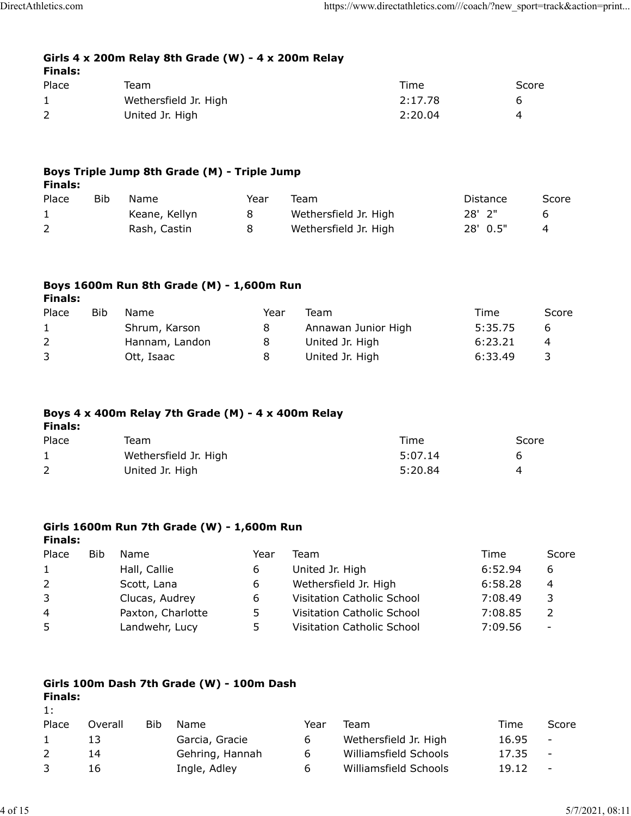**Finals:**

#### **Girls 4 x 200m Relay 8th Grade (W) - 4 x 200m Relay Finals:**

| Team                  | Time    | Score |
|-----------------------|---------|-------|
| Wethersfield Jr. High | 2:17.78 | b     |
| United Jr. High       | 2:20.04 | ⊿     |
|                       |         |       |

#### **Boys Triple Jump 8th Grade (M) - Triple Jump Finals:**

| Bib | Name          | Year | Team                  | Distance | Score    |
|-----|---------------|------|-----------------------|----------|----------|
|     | Keane, Kellyn |      | Wethersfield Jr. High | $28'$ 2" |          |
|     | Rash, Castin  |      | Wethersfield Jr. High |          |          |
|     |               |      |                       |          | 28' 0.5" |

## **Boys 1600m Run 8th Grade (M) - 1,600m Run**

| Place        | <b>Bib</b> | Name           | Year | Team                | Time    | Score |
|--------------|------------|----------------|------|---------------------|---------|-------|
| $\mathbf{1}$ |            | Shrum, Karson  |      | Annawan Junior High | 5:35.75 | b     |
| 2            |            | Hannam, Landon | 8    | United Jr. High     | 6:23.21 | 4     |
| 3            |            | Ott, Isaac     |      | United Jr. High     | 6:33.49 |       |

#### **Boys 4 x 400m Relay 7th Grade (M) - 4 x 400m Relay Finals:**

| Time    | Score |
|---------|-------|
| 5:07.14 | 6     |
| 5:20.84 |       |
|         |       |

#### **Girls 1600m Run 7th Grade (W) - 1,600m Run Finals:**

| Place        | <b>Bib</b> | Name              | Year | Team                       | Time    | Score                    |
|--------------|------------|-------------------|------|----------------------------|---------|--------------------------|
| $\mathbf{1}$ |            | Hall, Callie      | 6    | United Jr. High            | 6:52.94 | 6                        |
| 2            |            | Scott, Lana       | 6    | Wethersfield Jr. High      | 6:58.28 | 4                        |
| 3            |            | Clucas, Audrey    | 6    | Visitation Catholic School | 7:08.49 |                          |
| 4            |            | Paxton, Charlotte | 5    | Visitation Catholic School | 7:08.85 |                          |
| 5            |            | Landwehr, Lucy    | 5.   | Visitation Catholic School | 7:09.56 | $\overline{\phantom{a}}$ |

#### **Girls 100m Dash 7th Grade (W) - 100m Dash Finals:**

| Place        | Overall | Bib | Name            | Year | Team                  | Time  | Score          |
|--------------|---------|-----|-----------------|------|-----------------------|-------|----------------|
| $\mathbf{1}$ | 13      |     | Garcia, Gracie  | b    | Wethersfield Jr. High | 16.95 | $\sim$         |
|              | 14      |     | Gehring, Hannah | 6    | Williamsfield Schools | 17.35 | $\sim$         |
|              | 16      |     | Ingle, Adley    | b    | Williamsfield Schools | 19.12 | $\overline{a}$ |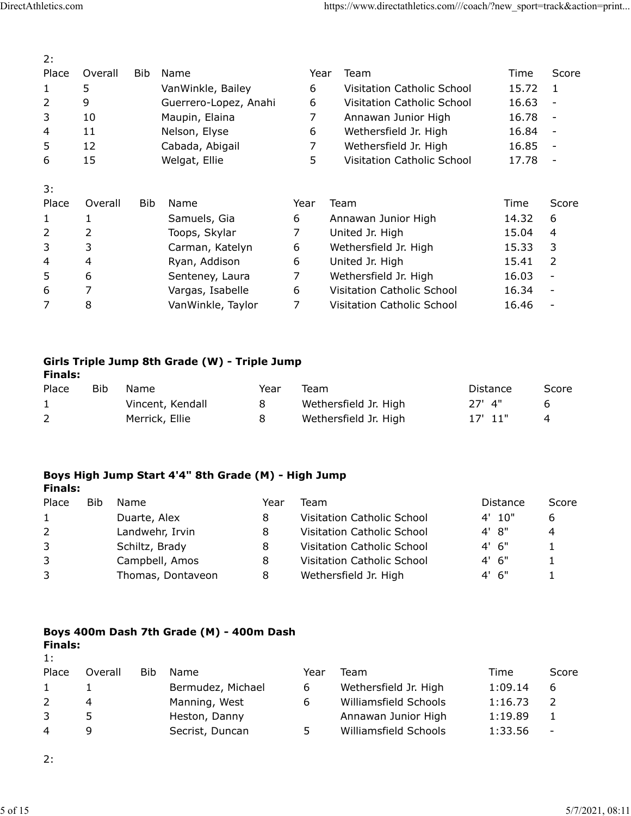| 2:    |         |            |                       |      |                                   |       |       |
|-------|---------|------------|-----------------------|------|-----------------------------------|-------|-------|
| Place | Overall | Bib        | Name                  | Year | Team                              | Time  | Score |
| 1     | 5       |            | VanWinkle, Bailey     | 6    | Visitation Catholic School        | 15.72 | 1     |
| 2     | 9       |            | Guerrero-Lopez, Anahi | 6    | Visitation Catholic School        | 16.63 |       |
| 3     | 10      |            | Maupin, Elaina        | 7    | Annawan Junior High               | 16.78 |       |
| 4     | 11      |            | Nelson, Elyse         | 6    | Wethersfield Jr. High             | 16.84 |       |
| 5     | 12      |            | Cabada, Abigail       | 7    | Wethersfield Jr. High             | 16.85 |       |
| 6     | 15      |            | Welgat, Ellie         | 5    | <b>Visitation Catholic School</b> | 17.78 |       |
|       |         |            |                       |      |                                   |       |       |
| 3:    |         |            |                       |      |                                   |       |       |
|       |         |            |                       |      |                                   |       |       |
| Place | Overall | <b>Bib</b> | Name                  | Year | Team                              | Time  | Score |
| 1     | 1       |            | Samuels, Gia          | 6    | Annawan Junior High               | 14.32 | 6     |
| 2     | 2       |            | Toops, Skylar         |      | United Jr. High                   | 15.04 | 4     |
| 3     | 3       |            | Carman, Katelyn       | 6    | Wethersfield Jr. High             | 15.33 | 3     |
| 4     | 4       |            | Ryan, Addison         | 6    | United Jr. High                   | 15.41 | 2     |
| 5     | 6       |            | Senteney, Laura       | 7    | Wethersfield Jr. High             | 16.03 |       |
| 6     | 7       |            | Vargas, Isabelle      | 6    | Visitation Catholic School        | 16.34 |       |
|       | 8       |            | VanWinkle, Taylor     | 7    | <b>Visitation Catholic School</b> | 16.46 |       |

#### **Girls Triple Jump 8th Grade (W) - Triple Jump Finals:**

| Place | Bib | Name             | Year | Team                  | Distance | Score |
|-------|-----|------------------|------|-----------------------|----------|-------|
|       |     | Vincent, Kendall |      | Wethersfield Jr. High | 27' 4"   |       |
|       |     | Merrick, Ellie   |      | Wethersfield Jr. High | 17' 11"  |       |

#### **Boys High Jump Start 4'4" 8th Grade (M) - High Jump Finals:**

| Place        | Bib | Name.             | Year | Team                       | Distance   | Score |
|--------------|-----|-------------------|------|----------------------------|------------|-------|
| $\mathbf{1}$ |     | Duarte, Alex      | 8    | Visitation Catholic School | $4'$ 10"   |       |
| 2            |     | Landwehr, Irvin   | 8    | Visitation Catholic School | $4'$ $8''$ | 4     |
| 3            |     | Schiltz, Brady    | 8    | Visitation Catholic School | $4'$ 6"    |       |
| 3            |     | Campbell, Amos    | 8    | Visitation Catholic School | $4'$ 6"    |       |
| 3            |     | Thomas, Dontaveon |      | Wethersfield Jr. High      | $4'$ 6"    |       |

#### **Boys 400m Dash 7th Grade (M) - 400m Dash Finals:**

| 1:    |         |     |                   |      |                       |         |                          |
|-------|---------|-----|-------------------|------|-----------------------|---------|--------------------------|
| Place | Overall | Bib | Name              | Year | Team                  | Time    | Score                    |
| 1     |         |     | Bermudez, Michael | 6    | Wethersfield Jr. High | 1:09.14 | 6                        |
|       | 4       |     | Manning, West     | 6    | Williamsfield Schools | 1:16.73 |                          |
|       | 5.      |     | Heston, Danny     |      | Annawan Junior High   | 1:19.89 |                          |
| 4     | q       |     | Secrist, Duncan   | 5    | Williamsfield Schools | 1:33.56 | $\overline{\phantom{0}}$ |
|       |         |     |                   |      |                       |         |                          |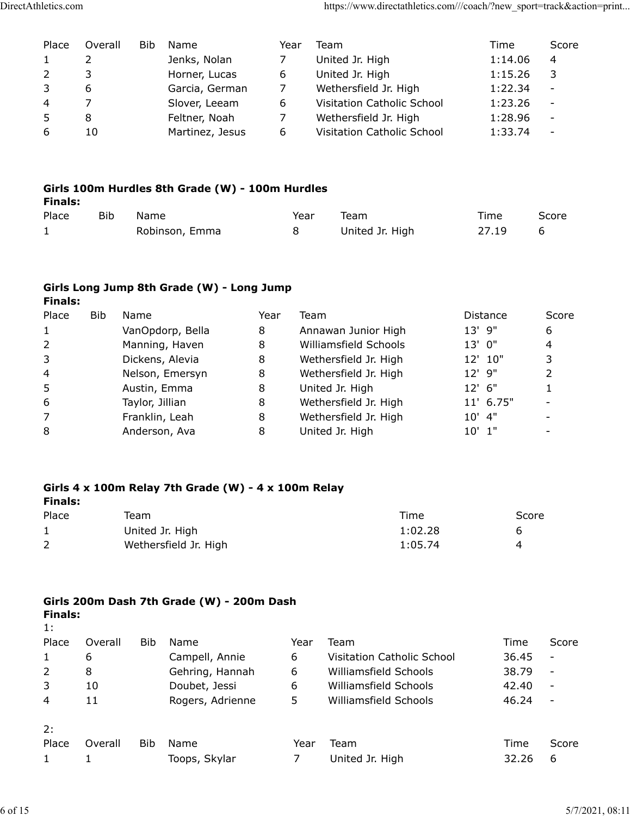| Place          | Overall | Bib | Name            | Year | Team                              | Time    | Score                    |
|----------------|---------|-----|-----------------|------|-----------------------------------|---------|--------------------------|
|                |         |     | Jenks, Nolan    |      | United Jr. High                   | 1:14.06 | 4                        |
| 2              | 3       |     | Horner, Lucas   | 6    | United Jr. High                   | 1:15.26 | 3                        |
| 3              | 6       |     | Garcia, German  |      | Wethersfield Jr. High             | 1:22.34 |                          |
| $\overline{4}$ |         |     | Slover, Leeam   | 6    | <b>Visitation Catholic School</b> | 1:23.26 |                          |
| .5             | 8       |     | Feltner, Noah   |      | Wethersfield Jr. High             | 1:28.96 | $\overline{\phantom{0}}$ |
| 6              | 10      |     | Martinez, Jesus | 6    | <b>Visitation Catholic School</b> | 1:33.74 |                          |

## **Girls 100m Hurdles 8th Grade (W) - 100m Hurdles Finals:** Place Bib Name Year Team Time Score 1 Robinson, Emma 8 United Jr. High 27.19 6

#### **Girls Long Jump 8th Grade (W) - Long Jump Finals:**

| Place          | Bib | <b>Name</b>      | Year | Team                  | <b>Distance</b> | Score                    |
|----------------|-----|------------------|------|-----------------------|-----------------|--------------------------|
| $\mathbf{1}$   |     | VanOpdorp, Bella | 8    | Annawan Junior High   | 13' 9"          | 6                        |
| 2              |     | Manning, Haven   | 8    | Williamsfield Schools | $13'$ 0"        | 4                        |
| 3              |     | Dickens, Alevia  | 8    | Wethersfield Jr. High | 12' 10"         | 3                        |
| $\overline{4}$ |     | Nelson, Emersyn  | 8    | Wethersfield Jr. High | $12'$ 9"        |                          |
| 5              |     | Austin, Emma     | 8    | United Jr. High       | $12'$ 6"        |                          |
| 6              |     | Taylor, Jillian  | 8    | Wethersfield Jr. High | 11' 6.75"       |                          |
| $\overline{7}$ |     | Franklin, Leah   | 8    | Wethersfield Jr. High | $10'$ 4"        | $\overline{\phantom{a}}$ |
| 8              |     | Anderson, Ava    | 8    | United Jr. High       | $10'$ 1"        |                          |

#### **Girls 4 x 100m Relay 7th Grade (W) - 4 x 100m Relay Finals:**

| Place | Team                  | Time    | Score |
|-------|-----------------------|---------|-------|
|       | United Jr. High       | 1:02.28 |       |
|       | Wethersfield Jr. High | 1:05.74 |       |

#### **Girls 200m Dash 7th Grade (W) - 200m Dash Finals:**

| . .          |         |     |                  |      |                            |       |                          |
|--------------|---------|-----|------------------|------|----------------------------|-------|--------------------------|
| Place        | Overall | Bib | Name             | Year | Team                       | Time  | Score                    |
| $\mathbf{1}$ | 6       |     | Campell, Annie   | 6    | Visitation Catholic School | 36.45 | $\overline{\phantom{a}}$ |
| 2            | 8       |     | Gehring, Hannah  | 6    | Williamsfield Schools      | 38.79 | $\overline{\phantom{a}}$ |
| 3            | 10      |     | Doubet, Jessi    | 6    | Williamsfield Schools      | 42.40 | $\overline{\phantom{a}}$ |
| 4            | 11      |     | Rogers, Adrienne | 5    | Williamsfield Schools      | 46.24 | $\overline{\phantom{a}}$ |
| 2:           |         |     |                  |      |                            |       |                          |
| Place        | Overall | Bib | Name             | Year | Team                       | Time  | Score                    |
|              |         |     | Toops, Skylar    |      | United Jr. High            | 32.26 | 6                        |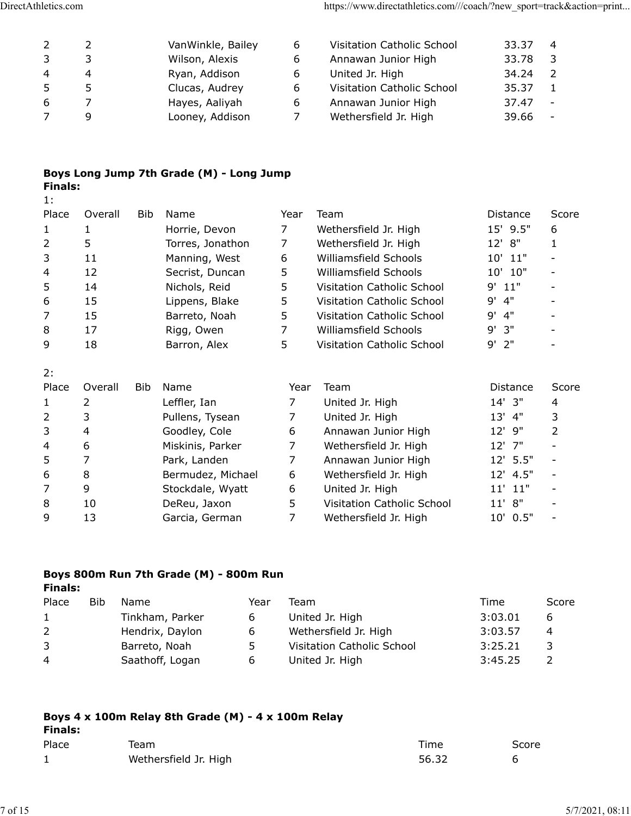| <sup>2</sup>   |   | VanWinkle, Bailey | 6 | Visitation Catholic School | 33.37 | 4      |
|----------------|---|-------------------|---|----------------------------|-------|--------|
| 3              | 3 | Wilson, Alexis    | 6 | Annawan Junior High        | 33.78 |        |
| $\overline{4}$ | 4 | Ryan, Addison     | 6 | United Jr. High            | 34.24 |        |
| .5             | 5 | Clucas, Audrey    | 6 | Visitation Catholic School | 35.37 |        |
| 6              |   | Hayes, Aaliyah    | 6 | Annawan Junior High        | 37.47 | $\sim$ |
|                | q | Looney, Addison   | 7 | Wethersfield Jr. High      | 39.66 |        |

#### **Boys Long Jump 7th Grade (M) - Long Jump Finals:** 1:

| Place          | Overall | Bib        | Name             | Year | Team                       | Distance        | Score |
|----------------|---------|------------|------------------|------|----------------------------|-----------------|-------|
| 1              | 1       |            | Horrie, Devon    | 7    | Wethersfield Jr. High      | $15'$ 9.5"      | 6     |
| $\overline{2}$ | 5       |            | Torres, Jonathon | 7    | Wethersfield Jr. High      | 12' 8"          | 1     |
| 3              | 11      |            | Manning, West    | 6    | Williamsfield Schools      | 11"<br>10'      |       |
| 4              | 12      |            | Secrist, Duncan  | 5    | Williamsfield Schools      | 10"<br>10'      |       |
| 5              | 14      |            | Nichols, Reid    | 5    | Visitation Catholic School | $9'$ $11"$      |       |
| 6              | 15      |            | Lippens, Blake   | 5    | Visitation Catholic School | 4"<br>g'        |       |
| 7              | 15      |            | Barreto, Noah    | 5    | Visitation Catholic School | 9'<br>4"        |       |
| 8              | 17      |            | Rigg, Owen       |      | Williamsfield Schools      | $9'$ $3"$       |       |
| 9              | 18      |            | Barron, Alex     | 5    | Visitation Catholic School | 2"<br>9'        |       |
| 2:             |         |            |                  |      |                            |                 |       |
| Place          | Overall | <b>Bib</b> | Name             | Year | Team                       | <b>Distance</b> | Score |
|                |         |            | Leffler, Ian     |      | United Jr. High            | $14'$ 3"        | 4     |

|                |    | Leffler, Ian      |    | United Jr. High            | $14'$ 3"    |             | 4 |
|----------------|----|-------------------|----|----------------------------|-------------|-------------|---|
| 2              |    | Pullens, Tysean   |    | United Jr. High            | $13'$ 4"    |             | 3 |
| 3              | 4  | Goodley, Cole     | 6  | Annawan Junior High        | $12'$ 9"    |             | 2 |
| $\overline{4}$ | 6  | Miskinis, Parker  |    | Wethersfield Jr. High      | $12'$ $7''$ |             |   |
| .5             |    | Park, Landen      |    | Annawan Junior High        |             | 12' 5.5"    |   |
| 6              | 8  | Bermudez, Michael | 6  | Wethersfield Jr. High      |             | 12' 4.5"    |   |
|                | 9  | Stockdale, Wyatt  | 6  | United Jr. High            |             | $11'$ $11"$ |   |
| 8              | 10 | DeReu, Jaxon      | 5. | Visitation Catholic School | 11' 8''     |             |   |
| 9              | 13 | Garcia, German    |    | Wethersfield Jr. High      |             | 10' 0.5"    |   |

## **Boys 800m Run 7th Grade (M) - 800m Run**

| Place        | Bib | Name            | Year | Team                       | Time    | Score |
|--------------|-----|-----------------|------|----------------------------|---------|-------|
| $\mathbf{1}$ |     | Tinkham, Parker | b    | United Jr. High            | 3:03.01 | 6     |
| 2            |     | Hendrix, Daylon | 6    | Wethersfield Jr. High      | 3:03.57 | 4     |
|              |     | Barreto, Noah   | 5    | Visitation Catholic School | 3:25.21 | 3.    |
| 4            |     | Saathoff, Logan | 6    | United Jr. High            | 3:45.25 |       |

| Boys 4 x 100m Relay 8th Grade (M) - 4 x 100m Relay<br>Finals: |                       |       |       |  |  |  |
|---------------------------------------------------------------|-----------------------|-------|-------|--|--|--|
| Place                                                         | Team                  | Time  | Score |  |  |  |
|                                                               | Wethersfield Jr. High | 56.32 |       |  |  |  |

| ----- |  |  |
|-------|--|--|
|       |  |  |
|       |  |  |
|       |  |  |
|       |  |  |
|       |  |  |
|       |  |  |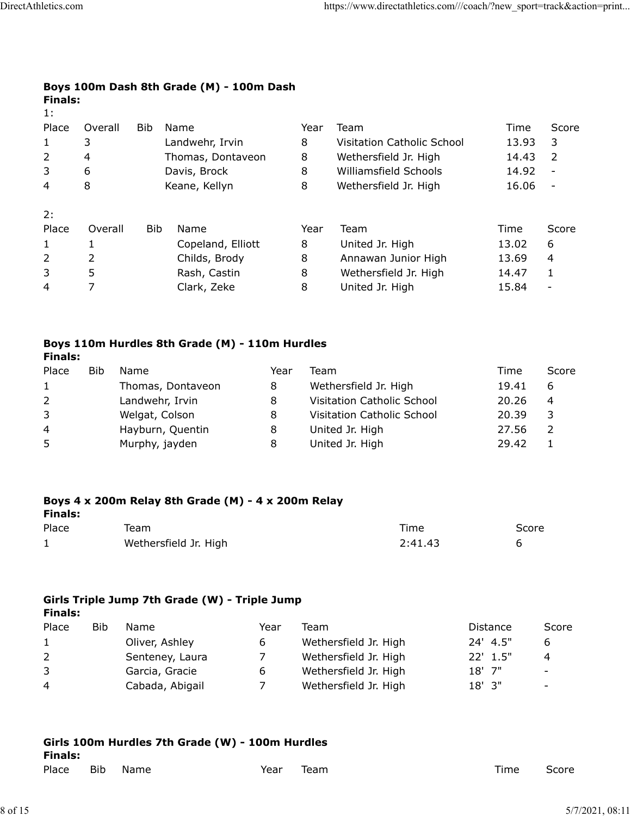### **Boys 100m Dash 8th Grade (M) - 100m Dash Finals:**

| 1:           |         |     |                   |      |                            |       |       |
|--------------|---------|-----|-------------------|------|----------------------------|-------|-------|
| Place        | Overall | Bib | Name              | Year | Team                       | Time  | Score |
| $\mathbf{1}$ | 3       |     | Landwehr, Irvin   | 8    | Visitation Catholic School | 13.93 | 3     |
| 2            | 4       |     | Thomas, Dontaveon | 8    | Wethersfield Jr. High      | 14.43 | 2     |
| 3            | 6       |     | Davis, Brock      | 8    | Williamsfield Schools      | 14.92 |       |
| 4            | 8       |     | Keane, Kellyn     | 8    | Wethersfield Jr. High      | 16.06 |       |
| 2:           |         |     |                   |      |                            |       |       |
| Place        | Overall | Bib | Name              | Year | Team                       | Time  | Score |
| $\mathbf{1}$ | 1       |     | Copeland, Elliott | 8    | United Jr. High            | 13.02 | 6     |
| 2            | 2       |     | Childs, Brody     | 8    | Annawan Junior High        | 13.69 | 4     |
| 3            | 5       |     | Rash, Castin      | 8    | Wethersfield Jr. High      | 14.47 | 1     |
| 4            |         |     | Clark, Zeke       | 8    | United Jr. High            | 15.84 |       |

#### **Boys 110m Hurdles 8th Grade (M) - 110m Hurdles Finals:**

| Place          | <b>Bib</b> | Name              | Year | Team                       | Time  | Score |
|----------------|------------|-------------------|------|----------------------------|-------|-------|
| $\mathbf{1}$   |            | Thomas, Dontaveon | 8    | Wethersfield Jr. High      | 19.41 | 6     |
| 2              |            | Landwehr, Irvin   | 8    | Visitation Catholic School | 20.26 | 4     |
| 3              |            | Welgat, Colson    | 8    | Visitation Catholic School | 20.39 |       |
| $\overline{4}$ |            | Hayburn, Quentin  | 8    | United Jr. High            | 27.56 |       |
| 5              |            | Murphy, jayden    | 8    | United Jr. High            | 29.42 |       |

## **Boys 4 x 200m Relay 8th Grade (M) - 4 x 200m Relay Finals:**

| Place | Team                  | Time    | Score |
|-------|-----------------------|---------|-------|
|       | Wethersfield Jr. High | 2:41.43 |       |

## **Girls Triple Jump 7th Grade (W) - Triple Jump**

**Finals:**

| Place        | <b>Bib</b> | Name            | Year | Team                  | Distance   | Score                    |
|--------------|------------|-----------------|------|-----------------------|------------|--------------------------|
| $\mathbf{1}$ |            | Oliver, Ashley  | b    | Wethersfield Jr. High | 24' 4.5"   | 6                        |
| $\mathbf{2}$ |            | Senteney, Laura |      | Wethersfield Jr. High | $22'$ 1.5" | 4                        |
| 3            |            | Garcia, Gracie  | b    | Wethersfield Jr. High | $18'$ 7"   | $\overline{\phantom{a}}$ |
| 4            |            | Cabada, Abigail |      | Wethersfield Jr. High | $18'$ 3"   | $\overline{\phantom{a}}$ |

| <b>Finals:</b> |     |       | Girls 100m Hurdles 7th Grade (W) - 100m Hurdles |      |      |              |
|----------------|-----|-------|-------------------------------------------------|------|------|--------------|
| Place          | Bib | Name. | Year                                            | Team | Time | <b>Score</b> |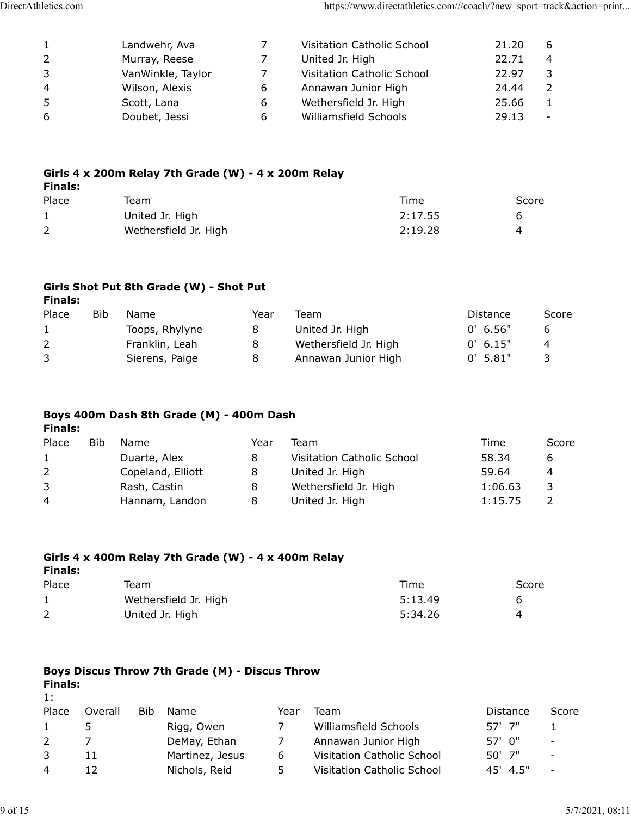| $\mathbf{1}$ | Landwehr, Ava     |   | Visitation Catholic School | 21.20 | 6 |
|--------------|-------------------|---|----------------------------|-------|---|
| 2            | Murray, Reese     |   | United Jr. High            | 22.71 |   |
| 3            | VanWinkle, Taylor |   | Visitation Catholic School | 22.97 |   |
| 4            | Wilson, Alexis    | 6 | Annawan Junior High        | 24.44 |   |
| 5            | Scott, Lana       | 6 | Wethersfield Jr. High      | 25.66 |   |
| 6            | Doubet, Jessi     | 6 | Williamsfield Schools      | 29.13 |   |

#### **Girls 4 x 200m Relay 7th Grade (W) - 4 x 200m Relay Finals:**

| Place | Team.                 | Time    | Score |
|-------|-----------------------|---------|-------|
|       | United Jr. High       | 2:17.55 |       |
|       | Wethersfield Jr. High | 2:19.28 |       |

#### **Girls Shot Put 8th Grade (W) - Shot Put Finals:**

| Place        | Bib | Name           | Year | Team                  | Distance   | Score |
|--------------|-----|----------------|------|-----------------------|------------|-------|
| $\mathbf{1}$ |     | Toops, Rhylyne | 8    | United Jr. High       | $0'$ 6.56" | h     |
| 2            |     | Franklin, Leah | 8    | Wethersfield Jr. High | $0'$ 6.15" | 4     |
| 3            |     | Sierens, Paige | 8    | Annawan Junior High   | $0'$ 5.81" |       |

## **Boys 400m Dash 8th Grade (M) - 400m Dash**

**Finals:**

| Place        | Bib | Name              | Year | Team                       | Time    | Score |
|--------------|-----|-------------------|------|----------------------------|---------|-------|
| $\mathbf{1}$ |     | Duarte, Alex      |      | Visitation Catholic School | 58.34   | ь     |
| 2            |     | Copeland, Elliott | 8    | United Jr. High            | 59.64   | 4     |
| 3            |     | Rash, Castin      | 8    | Wethersfield Jr. High      | 1:06.63 |       |
| 4            |     | Hannam, Landon    | 8    | United Jr. High            | 1:15.75 |       |

#### **Girls 4 x 400m Relay 7th Grade (W) - 4 x 400m Relay Finals:**

| Place | Team                  | Time    | Score |
|-------|-----------------------|---------|-------|
|       | Wethersfield Jr. High | 5:13.49 |       |
|       | United Jr. High       | 5:34.26 |       |

#### **Boys Discus Throw 7th Grade (M) - Discus Throw Finals:**

| Place | Overall | Bib. | Name            | Year | Team                       | <b>Distance</b> | Score                    |
|-------|---------|------|-----------------|------|----------------------------|-----------------|--------------------------|
|       | 5.      |      | Rigg, Owen      |      | Williamsfield Schools      | 57' 7"          |                          |
|       |         |      | DeMay, Ethan    |      | Annawan Junior High        | 57' 0"          | $\overline{\phantom{a}}$ |
|       | 11      |      | Martinez, Jesus | 6    | Visitation Catholic School | 50' 7"          | $\overline{\phantom{a}}$ |
| 4     |         |      | Nichols, Reid   | 5    | Visitation Catholic School | $45'$ $4.5"$    | $\overline{\phantom{a}}$ |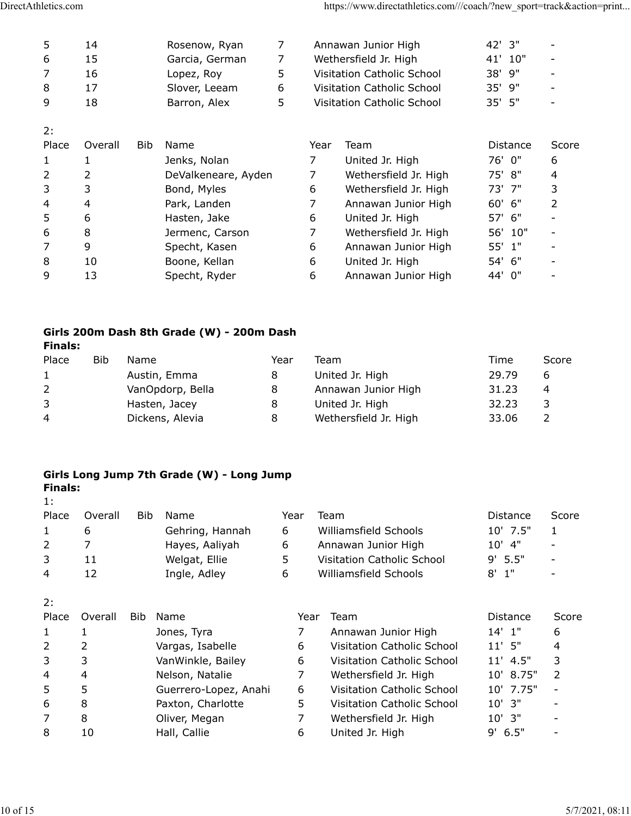| 5     | 14      |            | Rosenow, Ryan       | 7 |      | Annawan Junior High               | 42' 3"   |       |
|-------|---------|------------|---------------------|---|------|-----------------------------------|----------|-------|
| 6     | 15      |            | Garcia, German      |   |      | Wethersfield Jr. High             | 41' 10"  |       |
| 7     | 16      |            | Lopez, Roy          | 5 |      | <b>Visitation Catholic School</b> | 38' 9"   |       |
| 8     | 17      |            | Slover, Leeam       | 6 |      | Visitation Catholic School        | 35' 9"   |       |
| 9     | 18      |            | Barron, Alex        | 5 |      | Visitation Catholic School        | 35' 5"   |       |
| 2:    |         |            |                     |   |      |                                   |          |       |
| Place | Overall | <b>Bib</b> | Name                |   | Year | Team                              | Distance | Score |
| 1     |         |            | Jenks, Nolan        |   | 7    | United Jr. High                   | 76' 0"   | 6     |
| 2     | 2       |            | DeValkeneare, Ayden |   | 7    | Wethersfield Jr. High             | 75' 8"   | 4     |
|       | 3       |            | Bond, Myles         |   | 6    | Wethersfield Jr. High             | 73' 7"   | 3     |
| 4     | 4       |            | Park, Landen        |   |      | Annawan Junior High               | 60' 6"   | 2     |

5 6 Hasten, Jake 6 United Jr. High 57' 6" -6 8 Jermenc, Carson 7 Wethersfield Jr. High 56' 10" -7 9 Specht, Kasen 6 Annawan Junior High 55' 1" -8 10 Boone, Kellan 6 United Jr. High 54' 6" -9 13 Specht, Ryder 6 Annawan Junior High 44' 0" -

| Girls 200m Dash 8th Grade (W) - 200m Dash |  |  |  |
|-------------------------------------------|--|--|--|
| Finals:                                   |  |  |  |

| Place        | <b>Bib</b> | Name             | Year | Team                  | Time  | Score |
|--------------|------------|------------------|------|-----------------------|-------|-------|
| $\mathbf{1}$ |            | Austin, Emma     | 8    | United Jr. High       | 29.79 | 6     |
| 2            |            | VanOpdorp, Bella | 8    | Annawan Junior High   | 31.23 | 4     |
| 3            |            | Hasten, Jacey    | 8    | United Jr. High       | 32.23 |       |
| 4            |            | Dickens, Alevia  | 8    | Wethersfield Jr. High | 33.06 |       |

#### **Girls Long Jump 7th Grade (W) - Long Jump Finals:** 1:

| .     |         |      |                 |      |                            |            |                          |
|-------|---------|------|-----------------|------|----------------------------|------------|--------------------------|
| Place | Overall | Bib. | Name            | Year | Team                       | Distance   | Score                    |
|       |         |      | Gehring, Hannah | 6    | Williamsfield Schools      | $10'$ 7.5" |                          |
|       |         |      | Hayes, Aaliyah  | 6    | Annawan Junior High        | $10'$ 4"   | $\overline{\phantom{a}}$ |
|       | 11      |      | Welgat, Ellie   | 5.   | Visitation Catholic School | $9'$ 5.5"  | $\overline{\phantom{a}}$ |
| 4     |         |      | Ingle, Adley    | 6    | Williamsfield Schools      | $8'$ 1"    |                          |

| Place        | Overall | Bib. | Name                  | Year | <b>Team</b>                | <b>Distance</b> | Score         |
|--------------|---------|------|-----------------------|------|----------------------------|-----------------|---------------|
| $\mathbf{1}$ |         |      | Jones, Tyra           |      | Annawan Junior High        | $14'$ 1"        | 6             |
| 2.           |         |      | Vargas, Isabelle      | 6    | Visitation Catholic School | $11'$ 5"        | 4             |
| 3            |         |      | VanWinkle, Bailey     | 6    | Visitation Catholic School | $11'$ 4.5"      | 3             |
| 4            | 4       |      | Nelson, Natalie       |      | Wethersfield Jr. High      | 10' 8.75"       | $\mathcal{L}$ |
| 5            |         |      | Guerrero-Lopez, Anahi | 6    | Visitation Catholic School | 10' 7.75"       |               |
| 6.           | 8       |      | Paxton, Charlotte     | 5    | Visitation Catholic School | $10'$ 3"        |               |
| 7            | 8       |      | Oliver, Megan         |      | Wethersfield Jr. High      | 10' 3"          |               |
| 8            | 10      |      | Hall, Callie          | 6    | United Jr. High            | $9'$ 6.5"       |               |
|              |         |      |                       |      |                            |                 |               |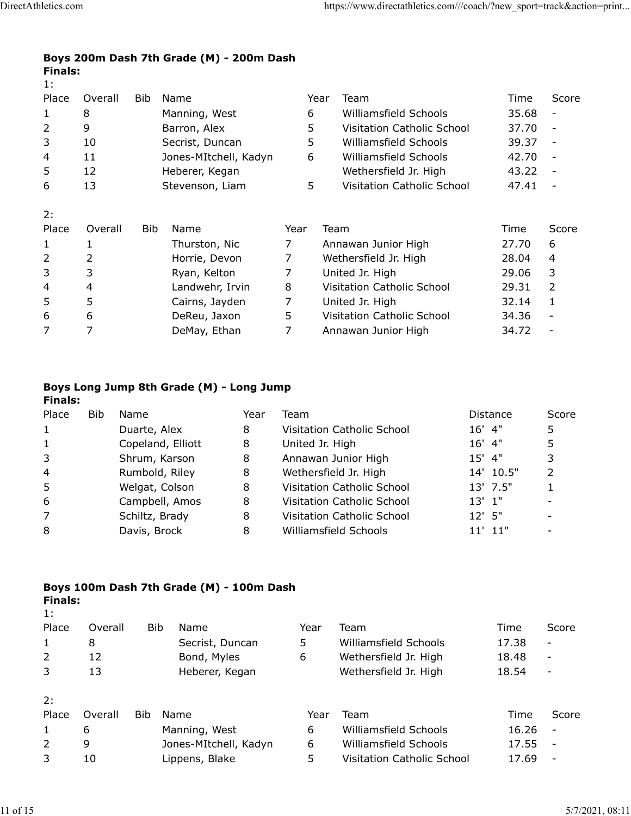## **Boys 200m Dash 7th Grade (M) - 200m Dash Finals:**

| 1:             |         |      |                       |      |                                   |       |                          |
|----------------|---------|------|-----------------------|------|-----------------------------------|-------|--------------------------|
| Place          | Overall | Bib. | Name                  |      | Year<br><b>Team</b>               | Time  | Score                    |
| 1              | 8       |      | Manning, West         | 6    | Williamsfield Schools             | 35.68 |                          |
| $\overline{2}$ | 9       |      | Barron, Alex          | 5    | Visitation Catholic School        | 37.70 |                          |
| 3              | 10      |      | Secrist, Duncan       | 5    | Williamsfield Schools             | 39.37 |                          |
| 4              | 11      |      | Jones-MItchell, Kadyn | 6    | Williamsfield Schools             | 42.70 |                          |
| 5              | 12      |      | Heberer, Kegan        |      | Wethersfield Jr. High             | 43.22 | $\overline{\phantom{a}}$ |
| 6              | 13      |      | Stevenson, Liam       | 5    | Visitation Catholic School        | 47.41 |                          |
| 2:             |         |      |                       |      |                                   |       |                          |
| Place          | Overall | Bib  | Name                  | Year | Team                              | Time  | Score                    |
| 1              | 1       |      | Thurston, Nic         | 7    | Annawan Junior High               | 27.70 | 6                        |
| $\overline{2}$ | 2       |      | Horrie, Devon         | 7    | Wethersfield Jr. High             | 28.04 | 4                        |
| 3              | 3       |      | Ryan, Kelton          | 7    | United Jr. High                   | 29.06 | 3                        |
| 4              | 4       |      | Landwehr, Irvin       | 8    | <b>Visitation Catholic School</b> | 29.31 | 2                        |
| 5              | 5       |      | Cairns, Jayden        | 7    | United Jr. High                   | 32.14 | $\mathbf{1}$             |
|                |         |      |                       |      |                                   |       |                          |
| 6              | 6       |      | DeReu, Jaxon          | 5    | Visitation Catholic School        | 34.36 |                          |
| 7              | 7       |      | DeMay, Ethan          | 7    | Annawan Junior High               | 34.72 |                          |

#### **Boys Long Jump 8th Grade (M) - Long Jump Finals:**

| Place          | Bib | Name              | Year | Team                              | <b>Distance</b> | Score |
|----------------|-----|-------------------|------|-----------------------------------|-----------------|-------|
| 1              |     | Duarte, Alex      | 8    | Visitation Catholic School        | -4"<br>16'      | 5.    |
| $\mathbf{1}$   |     | Copeland, Elliott | 8    | United Jr. High                   | $16'$ 4"        |       |
| 3              |     | Shrum, Karson     | 8    | Annawan Junior High               | $15'$ 4"        | 3.    |
| $\overline{4}$ |     | Rumbold, Riley    | 8    | Wethersfield Jr. High             | 14' 10.5"       |       |
| 5              |     | Welgat, Colson    | 8    | Visitation Catholic School        | $13'$ 7.5"      |       |
| 6              |     | Campbell, Amos    | 8    | <b>Visitation Catholic School</b> | $13'$ $1''$     |       |
| 7              |     | Schiltz, Brady    | 8    | <b>Visitation Catholic School</b> | $12'$ 5"        |       |
| 8              |     | Davis, Brock      | 8    | Williamsfield Schools             | $11'$ $11''$    |       |
|                |     |                   |      |                                   |                 |       |

### **Boys 100m Dash 7th Grade (M) - 100m Dash Finals:**

| 1:           |         |            |                       |      |                                   |       |                          |
|--------------|---------|------------|-----------------------|------|-----------------------------------|-------|--------------------------|
| Place        | Overall | <b>Bib</b> | Name                  | Year | Team                              | Time  | Score                    |
| $\mathbf{1}$ | 8       |            | Secrist, Duncan       | 5    | Williamsfield Schools             | 17.38 | $\qquad \qquad -$        |
| 2            | 12      |            | Bond, Myles           | 6    | Wethersfield Jr. High             | 18.48 | $\overline{\phantom{a}}$ |
| 3            | 13      |            | Heberer, Kegan        |      | Wethersfield Jr. High             | 18.54 | $\overline{\phantom{a}}$ |
|              |         |            |                       |      |                                   |       |                          |
| 2:           |         |            |                       |      |                                   |       |                          |
| Place        | Overall | <b>Bib</b> | Name                  | Year | Team                              | Time  | Score                    |
|              | 6       |            | Manning, West         | 6    | Williamsfield Schools             | 16.26 |                          |
| 2            | 9       |            | Jones-MItchell, Kadyn | 6    | Williamsfield Schools             | 17.55 | $\overline{\phantom{0}}$ |
| 3            | 10      |            | Lippens, Blake        | 5    | <b>Visitation Catholic School</b> | 17.69 | $\overline{\phantom{0}}$ |
|              |         |            |                       |      |                                   |       |                          |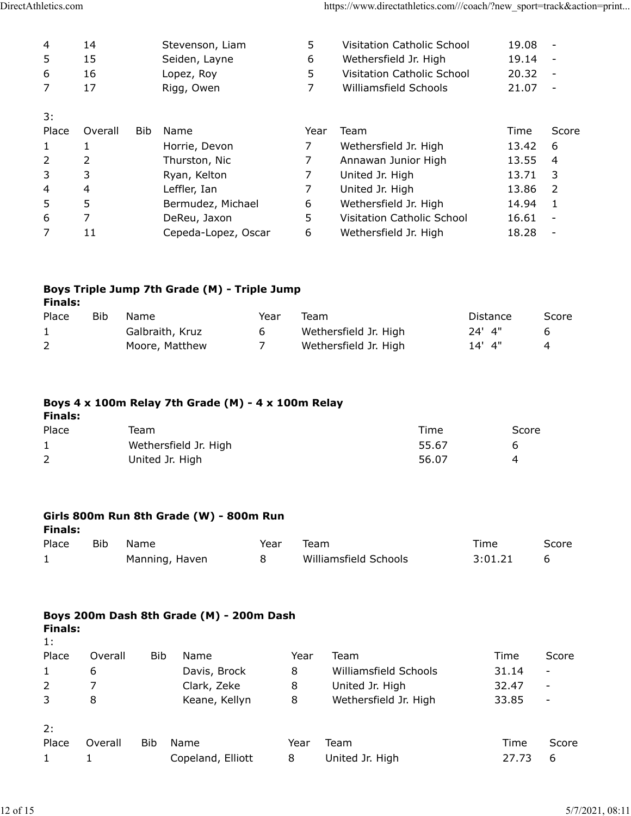| $\overline{4}$<br>5<br>6<br>7 | 14<br>15<br>16<br>17 |            | Stevenson, Liam<br>Seiden, Layne<br>Lopez, Roy<br>Rigg, Owen | 5<br>6<br>5 | Visitation Catholic School<br>Wethersfield Jr. High<br>Visitation Catholic School<br>Williamsfield Schools | 19.08<br>19.14<br>20.32<br>21.07 |               |
|-------------------------------|----------------------|------------|--------------------------------------------------------------|-------------|------------------------------------------------------------------------------------------------------------|----------------------------------|---------------|
| 3:                            |                      |            |                                                              |             |                                                                                                            |                                  |               |
| Place                         | Overall              | <b>Bib</b> | Name                                                         | Year        | Team                                                                                                       | Time                             | Score         |
| $\mathbf{1}$                  |                      |            | Horrie, Devon                                                |             | Wethersfield Jr. High                                                                                      | 13.42                            | 6             |
| 2                             | 2                    |            | Thurston, Nic                                                |             | Annawan Junior High                                                                                        | 13.55                            | 4             |
| 3                             | 3                    |            | Ryan, Kelton                                                 |             | United Jr. High                                                                                            | 13.71                            | 3             |
| $\overline{4}$                | 4                    |            | Leffler, Ian                                                 |             | United Jr. High                                                                                            | 13.86                            | $\mathcal{L}$ |
| 5                             | 5                    |            | Bermudez, Michael                                            | 6           | Wethersfield Jr. High                                                                                      | 14.94                            |               |
| 6                             | 7                    |            | DeReu, Jaxon                                                 | 5           | Visitation Catholic School                                                                                 | 16.61                            |               |
| 7                             | 11                   |            | Cepeda-Lopez, Oscar                                          | 6           | Wethersfield Jr. High                                                                                      | 18.28                            |               |

#### **Boys Triple Jump 7th Grade (M) - Triple Jump Finals:**

| Place | Bib | <b>Name</b>     | Year | Team                  | Distance   | Score |
|-------|-----|-----------------|------|-----------------------|------------|-------|
|       |     | Galbraith, Kruz |      | Wethersfield Jr. High | - 24' - 4" |       |
|       |     | Moore, Matthew  |      | Wethersfield Jr. High | 14' 4"     |       |

## **Boys 4 x 100m Relay 7th Grade (M) - 4 x 100m Relay**

| Team | Time                                     | Score |
|------|------------------------------------------|-------|
|      | 55.67                                    | 6     |
|      | 56.07                                    | 4     |
|      | Wethersfield Jr. High<br>United Jr. High |       |

# **Girls 800m Run 8th Grade (W) - 800m Run**

| <b>Finals:</b> |
|----------------|
|----------------|

| Place | Bib | Name           | Year | Team                  | Time    | Score |
|-------|-----|----------------|------|-----------------------|---------|-------|
|       |     | Manning, Haven |      | Williamsfield Schools | 3:01.21 |       |

#### **Boys 200m Dash 8th Grade (M) - 200m Dash Finals:**

| 1:             |         |     |                   |      |                       |       |                          |
|----------------|---------|-----|-------------------|------|-----------------------|-------|--------------------------|
| Place          | Overall | Bib | Name              | Year | Team                  | Time  | Score                    |
| 1              | 6       |     | Davis, Brock      | 8    | Williamsfield Schools | 31.14 | $\overline{\phantom{m}}$ |
| $\overline{2}$ |         |     | Clark, Zeke       | 8    | United Jr. High       | 32.47 | $\overline{\phantom{a}}$ |
| $\mathbf{3}$   | 8       |     | Keane, Kellyn     | 8    | Wethersfield Jr. High | 33.85 | $\qquad \qquad -$        |
| 2:             |         |     |                   |      |                       |       |                          |
| Place          | Overall | Bib | Name              | Year | Team                  | Time  | Score                    |
|                |         |     | Copeland, Elliott | 8    | United Jr. High       | 27.73 | 6                        |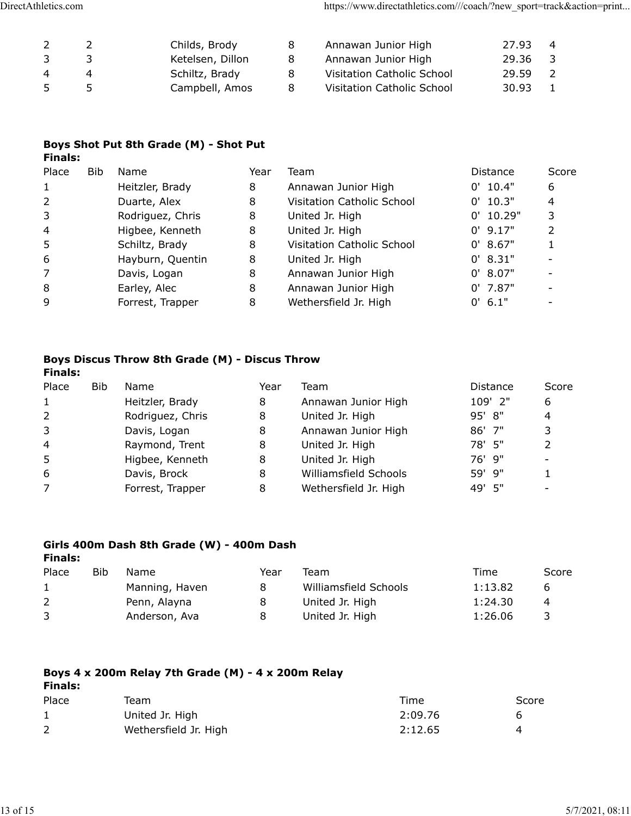| $\mathbf{Z}$ |             | Childs, Brody    | 8 | Annawan Junior High        | 27.93 4 |  |
|--------------|-------------|------------------|---|----------------------------|---------|--|
|              | - 3 -       | Ketelsen, Dillon | 8 | Annawan Junior High        | 29.36 3 |  |
| 4            | $\mathbf 4$ | Schiltz, Brady   | 8 | Visitation Catholic School | 29.59 2 |  |
| 5            |             | Campbell, Amos   | 8 | Visitation Catholic School | 30.93 1 |  |

#### **Boys Shot Put 8th Grade (M) - Shot Put Finals:**

| Place        | Bib | Name             | Year | Team                              | Distance     | Score |
|--------------|-----|------------------|------|-----------------------------------|--------------|-------|
| $\mathbf{1}$ |     | Heitzler, Brady  | 8    | Annawan Junior High               | 10.4"<br>0'  | 6     |
| 2            |     | Duarte, Alex     | 8    | <b>Visitation Catholic School</b> | 10.3"<br>0'  | 4     |
| 3            |     | Rodriguez, Chris | 8    | United Jr. High                   | 10.29"<br>0' | 3     |
| 4            |     | Higbee, Kenneth  | 8    | United Jr. High                   | 9.17"<br>0'  |       |
| 5            |     | Schiltz, Brady   | 8    | <b>Visitation Catholic School</b> | $0'$ 8.67"   |       |
| 6            |     | Hayburn, Quentin | 8    | United Jr. High                   | $0'$ 8.31"   |       |
| 7            |     | Davis, Logan     | 8    | Annawan Junior High               | 8.07"<br>0'  |       |
| 8            |     | Earley, Alec     | 8    | Annawan Junior High               | $0'$ 7.87"   |       |
| 9            |     | Forrest, Trapper | 8    | Wethersfield Jr. High             | 6.1"<br>0'   |       |
|              |     |                  |      |                                   |              |       |

#### **Boys Discus Throw 8th Grade (M) - Discus Throw Finals:**

| Place          | <b>Bib</b> | Name             | Year | Team                  | <b>Distance</b> | Score |
|----------------|------------|------------------|------|-----------------------|-----------------|-------|
| $\mathbf{1}$   |            | Heitzler, Brady  | 8    | Annawan Junior High   | 109' 2"         | 6     |
| $\overline{2}$ |            | Rodriguez, Chris | 8    | United Jr. High       | 95' 8"          | 4     |
| $\mathbf{3}$   |            | Davis, Logan     | 8    | Annawan Junior High   | 86' 7"          |       |
| $\overline{4}$ |            | Raymond, Trent   | 8    | United Jr. High       | 78' 5"          |       |
| 5              |            | Higbee, Kenneth  | 8    | United Jr. High       | 76' 9"          |       |
| 6              |            | Davis, Brock     | 8    | Williamsfield Schools | 59' 9"          |       |
| 7              |            | Forrest, Trapper | 8    | Wethersfield Jr. High | 49' 5"          |       |

## **Girls 400m Dash 8th Grade (W) - 400m Dash**

| <b>Finals:</b> |     |                |      |                       |         |       |
|----------------|-----|----------------|------|-----------------------|---------|-------|
| Place          | Bib | Name           | Year | Team                  | Time    | Score |
| $\mathbf{1}$   |     | Manning, Haven |      | Williamsfield Schools | 1:13.82 | 6     |
| 2              |     | Penn, Alayna   |      | United Jr. High       | 1:24.30 | 4     |
| 3              |     | Anderson, Ava  |      | United Jr. High       | 1:26.06 |       |

#### **Boys 4 x 200m Relay 7th Grade (M) - 4 x 200m Relay Finals:**

| Team                  | Time    | Score |
|-----------------------|---------|-------|
| United Jr. High       | 2:09.76 |       |
| Wethersfield Jr. High | 2:12.65 |       |
|                       |         |       |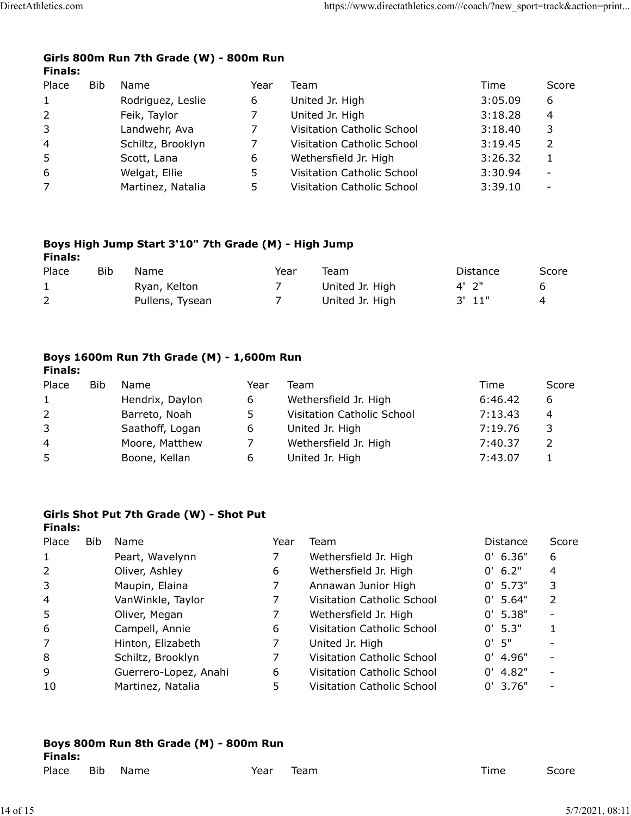#### **Girls 800m Run 7th Grade (W) - 800m Run Finals:**

| Place          | <b>Bib</b> | Name              | Year | Team                              | Time    | Score |
|----------------|------------|-------------------|------|-----------------------------------|---------|-------|
| $\mathbf{1}$   |            | Rodriguez, Leslie | 6    | United Jr. High                   | 3:05.09 | 6     |
| $2^{\circ}$    |            | Feik, Taylor      |      | United Jr. High                   | 3:18.28 | 4     |
| 3              |            | Landwehr, Ava     |      | Visitation Catholic School        | 3:18.40 | 3     |
| $\overline{4}$ |            | Schiltz, Brooklyn |      | Visitation Catholic School        | 3:19.45 | 2     |
| 5              |            | Scott, Lana       | 6    | Wethersfield Jr. High             | 3:26.32 |       |
| 6              |            | Welgat, Ellie     | 5.   | Visitation Catholic School        | 3:30.94 |       |
| 7              |            | Martinez, Natalia | 5.   | <b>Visitation Catholic School</b> | 3:39.10 |       |
|                |            |                   |      |                                   |         |       |

### **Boys High Jump Start 3'10" 7th Grade (M) - High Jump Finals:**

| Place | Bib | Name            | Year | Team            | Distance | Score |
|-------|-----|-----------------|------|-----------------|----------|-------|
|       |     | Ryan, Kelton    |      | United Jr. High | 4' 2"    |       |
| 2     |     | Pullens, Tysean |      | United Jr. High | $3'$ 11" |       |

#### **Boys 1600m Run 7th Grade (M) - 1,600m Run Finals:**

| Place        | <b>Bib</b> | Name            | Year | Team                       | Time    | Score |
|--------------|------------|-----------------|------|----------------------------|---------|-------|
| $\mathbf{1}$ |            | Hendrix, Daylon | 6    | Wethersfield Jr. High      | 6:46.42 | 6     |
| 2            |            | Barreto, Noah   |      | Visitation Catholic School | 7:13.43 | 4     |
| 3            |            | Saathoff, Logan | b    | United Jr. High            | 7:19.76 |       |
| 4            |            | Moore, Matthew  |      | Wethersfield Jr. High      | 7:40.37 |       |
| 5            |            | Boone, Kellan   |      | United Jr. High            | 7:43.07 |       |
|              |            |                 |      |                            |         |       |

#### **Girls Shot Put 7th Grade (W) - Shot Put Finals:**

| Place | Bib | Name                  | Year | Team                              | <b>Distance</b> | Score |
|-------|-----|-----------------------|------|-----------------------------------|-----------------|-------|
| 1     |     | Peart, Wavelynn       |      | Wethersfield Jr. High             | $0'$ 6.36"      | 6     |
| 2     |     | Oliver, Ashley        | 6    | Wethersfield Jr. High             | 6.2"<br>0'      | 4     |
| 3     |     | Maupin, Elaina        |      | Annawan Junior High               | $0'$ 5.73"      | 3     |
| 4     |     | VanWinkle, Taylor     |      | Visitation Catholic School        | $0'$ 5.64"      | 2     |
| 5     |     | Oliver, Megan         |      | Wethersfield Jr. High             | $0'$ 5.38"      |       |
| 6     |     | Campell, Annie        | 6    | Visitation Catholic School        | $0'$ 5.3"       |       |
| 7     |     | Hinton, Elizabeth     |      | United Jr. High                   | $0'$ 5"         |       |
| 8     |     | Schiltz, Brooklyn     |      | <b>Visitation Catholic School</b> | $0'$ 4.96"      |       |
| 9     |     | Guerrero-Lopez, Anahi | 6    | Visitation Catholic School        | 4.82"<br>0'     |       |
| 10    |     | Martinez, Natalia     | 5    | Visitation Catholic School        | $0'$ 3.76"      |       |

| Boys 800m Run 8th Grade (M) - 800m Run<br>Finals: |     |      |      |  |      |  |  |  |      |       |
|---------------------------------------------------|-----|------|------|--|------|--|--|--|------|-------|
| Place                                             | Bib | Name | Year |  | Team |  |  |  | Time | Score |